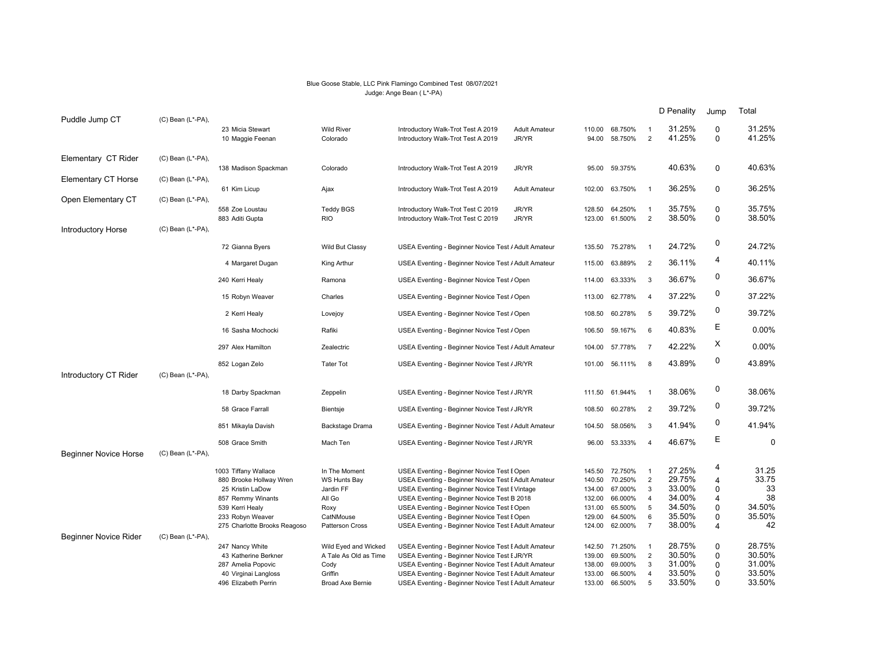## Blue Goose Stable, LLC Pink Flamingo Combined Test 08/07/2021 Judge: Ange Bean ( L\*-PA)

|                              |                         |                                       |                                |                                                                                              |                               |                  |                    |                                  | D Penality       | Jump                       | Total            |
|------------------------------|-------------------------|---------------------------------------|--------------------------------|----------------------------------------------------------------------------------------------|-------------------------------|------------------|--------------------|----------------------------------|------------------|----------------------------|------------------|
| Puddle Jump CT               | (C) Bean (L*-PA),       | 23 Micia Stewart<br>10 Maggie Feenan  | <b>Wild River</b><br>Colorado  | Introductory Walk-Trot Test A 2019<br>Introductory Walk-Trot Test A 2019                     | <b>Adult Amateur</b><br>JR/YR | 110.00<br>94.00  | 68.750%<br>58.750% | -1<br>$\overline{2}$             | 31.25%<br>41.25% | $\mathbf 0$<br>$\mathbf 0$ | 31.25%<br>41.25% |
| Elementary CT Rider          | $(C)$ Bean $(L^*$ -PA), |                                       |                                |                                                                                              |                               |                  |                    |                                  |                  |                            |                  |
|                              |                         | 138 Madison Spackman                  | Colorado                       | Introductory Walk-Trot Test A 2019                                                           | JR/YR                         | 95.00            | 59.375%            |                                  | 40.63%           | $\mathbf 0$                | 40.63%           |
| <b>Elementary CT Horse</b>   | (C) Bean (L*-PA),       | 61 Kim Licup                          | Ajax                           | Introductory Walk-Trot Test A 2019                                                           | <b>Adult Amateur</b>          | 102.00           | 63.750%            | $\overline{1}$                   | 36.25%           | $\Omega$                   | 36.25%           |
| Open Elementary CT           | $(C)$ Bean $(L^*$ -PA), |                                       |                                |                                                                                              |                               |                  |                    |                                  |                  |                            | 35.75%           |
|                              |                         | 558 Zoe Loustau<br>883 Aditi Gupta    | <b>Teddy BGS</b><br><b>RIO</b> | Introductory Walk-Trot Test C 2019<br>Introductory Walk-Trot Test C 2019                     | JR/YR<br>JR/YR                | 128.50<br>123.00 | 64.250%<br>61.500% | $\overline{1}$<br>$\overline{2}$ | 35.75%<br>38.50% | $\mathbf 0$<br>$\mathbf 0$ | 38.50%           |
| <b>Introductory Horse</b>    | (C) Bean (L*-PA),       |                                       |                                |                                                                                              |                               |                  |                    |                                  |                  |                            |                  |
|                              |                         | 72 Gianna Byers                       | Wild But Classy                | USEA Eventing - Beginner Novice Test / Adult Amateur                                         |                               | 135.50           | 75.278%            | $\overline{1}$                   | 24.72%           | 0                          | 24.72%           |
|                              |                         | 4 Margaret Dugan                      | King Arthur                    | USEA Eventing - Beginner Novice Test / Adult Amateur                                         |                               | 115.00           | 63.889%            | $\overline{2}$                   | 36.11%           | 4                          | 40.11%           |
|                              |                         | 240 Kerri Healy                       | Ramona                         | USEA Eventing - Beginner Novice Test / Open                                                  |                               | 114.00           | 63.333%            | $\overline{3}$                   | 36.67%           | 0                          | 36.67%           |
|                              |                         | 15 Robyn Weaver                       | Charles                        | USEA Eventing - Beginner Novice Test / Open                                                  |                               | 113.00           | 62.778%            | $\overline{4}$                   | 37.22%           | 0                          | 37.22%           |
|                              |                         | 2 Kerri Healy                         | Lovejoy                        | USEA Eventing - Beginner Novice Test / Open                                                  |                               | 108.50           | 60.278%            | $\overline{5}$                   | 39.72%           | 0                          | 39.72%           |
|                              |                         | 16 Sasha Mochocki                     | Rafiki                         | USEA Eventing - Beginner Novice Test / Open                                                  |                               | 106.50           | 59.167%            | 6                                | 40.83%           | Е                          | 0.00%            |
|                              |                         | 297 Alex Hamilton                     | Zealectric                     | USEA Eventing - Beginner Novice Test / Adult Amateur                                         |                               |                  | 104.00 57.778%     | $\overline{7}$                   | 42.22%           | х                          | $0.00\%$         |
|                              |                         | 852 Logan Zelo                        | <b>Tater Tot</b>               | USEA Eventing - Beginner Novice Test / JR/YR                                                 |                               | 101.00           | 56.111%            | 8                                | 43.89%           | 0                          | 43.89%           |
| Introductory CT Rider        | (C) Bean (L*-PA),       |                                       |                                |                                                                                              |                               |                  |                    |                                  |                  |                            |                  |
|                              |                         | 18 Darby Spackman                     | Zeppelin                       | USEA Eventing - Beginner Novice Test / JR/YR                                                 |                               |                  | 111.50 61.944%     | $\overline{1}$                   | 38.06%           | 0                          | 38.06%           |
|                              |                         | 58 Grace Farrall                      | Bientsje                       | USEA Eventing - Beginner Novice Test / JR/YR                                                 |                               | 108.50           | 60.278%            | $\overline{2}$                   | 39.72%           | 0                          | 39.72%           |
|                              |                         | 851 Mikayla Davish                    | Backstage Drama                | USEA Eventing - Beginner Novice Test / Adult Amateur                                         |                               | 104.50           | 58.056%            | $\mathbf{3}$                     | 41.94%           | 0                          | 41.94%           |
|                              |                         | 508 Grace Smith                       | Mach Ten                       | USEA Eventing - Beginner Novice Test / JR/YR                                                 |                               | 96.00            | 53.333%            | $\overline{4}$                   | 46.67%           | Ε                          | $\mathbf 0$      |
| <b>Beginner Novice Horse</b> | (C) Bean (L*-PA),       |                                       |                                |                                                                                              |                               |                  |                    |                                  |                  |                            |                  |
|                              |                         | 1003 Tiffany Wallace                  | In The Moment                  | USEA Eventing - Beginner Novice Test I Open                                                  |                               | 145.50           | 72.750%            | $\overline{1}$                   | 27.25%           | 4                          | 31.25            |
|                              |                         | 880 Brooke Hollway Wren               | WS Hunts Bay                   | USEA Eventing - Beginner Novice Test EAdult Amateur                                          |                               | 140.50           | 70.250%            | $\overline{2}$                   | 29.75%           | 4                          | 33.75            |
|                              |                         | 25 Kristin LaDow<br>857 Remmy Winants | Jardin FF<br>All Go            | USEA Eventing - Beginner Novice Test EVintage<br>USEA Eventing - Beginner Novice Test B 2018 |                               | 134.00<br>132.00 | 67.000%<br>66.000% | 3<br>$\overline{4}$              | 33.00%<br>34.00% | 0<br>4                     | 33<br>38         |
|                              |                         | 539 Kerri Healy                       | Roxy                           | USEA Eventing - Beginner Novice Test I Open                                                  |                               | 131.00           | 65.500%            | 5                                | 34.50%           | 0                          | 34.50%           |
|                              |                         | 233 Robyn Weaver                      | CatNMouse                      | USEA Eventing - Beginner Novice Test I Open                                                  |                               | 129.00           | 64.500%            | 6                                | 35.50%           | 0                          | 35.50%           |
|                              |                         | 275 Charlotte Brooks Reagoso          | Patterson Cross                | USEA Eventing - Beginner Novice Test EAdult Amateur                                          |                               | 124.00           | 62.000%            | $\overline{7}$                   | 38.00%           | 4                          | 42               |
| <b>Beginner Novice Rider</b> | (C) Bean (L*-PA),       |                                       |                                |                                                                                              |                               |                  |                    |                                  |                  |                            |                  |
|                              |                         | 247 Nancy White                       | Wild Eyed and Wicked           | USEA Eventing - Beginner Novice Test EAdult Amateur                                          |                               | 142.50           | 71.250%            | $\overline{1}$                   | 28.75%           | 0                          | 28.75%           |
|                              |                         | 43 Katherine Berkner                  | A Tale As Old as Time          | USEA Eventing - Beginner Novice Test I JR/YR                                                 |                               | 139.00           | 69.500%            | $\overline{2}$                   | 30.50%           | $\mathbf 0$                | 30.50%           |
|                              |                         | 287 Amelia Popovic                    | Cody                           | USEA Eventing - Beginner Novice Test EAdult Amateur                                          |                               | 138.00           | 69.000%            | 3                                | 31.00%           | $\mathbf 0$                | 31.00%           |
|                              |                         | 40 Virginai Langloss                  | Griffin                        | USEA Eventing - Beginner Novice Test EAdult Amateur                                          |                               | 133.00           | 66.500%            | $\overline{4}$                   | 33.50%           | 0                          | 33.50%           |
|                              |                         | 496 Elizabeth Perrin                  | Broad Axe Bernie               | USEA Eventing - Beginner Novice Test EAdult Amateur                                          |                               | 133.00           | 66.500%            | 5                                | 33.50%           | 0                          | 33.50%           |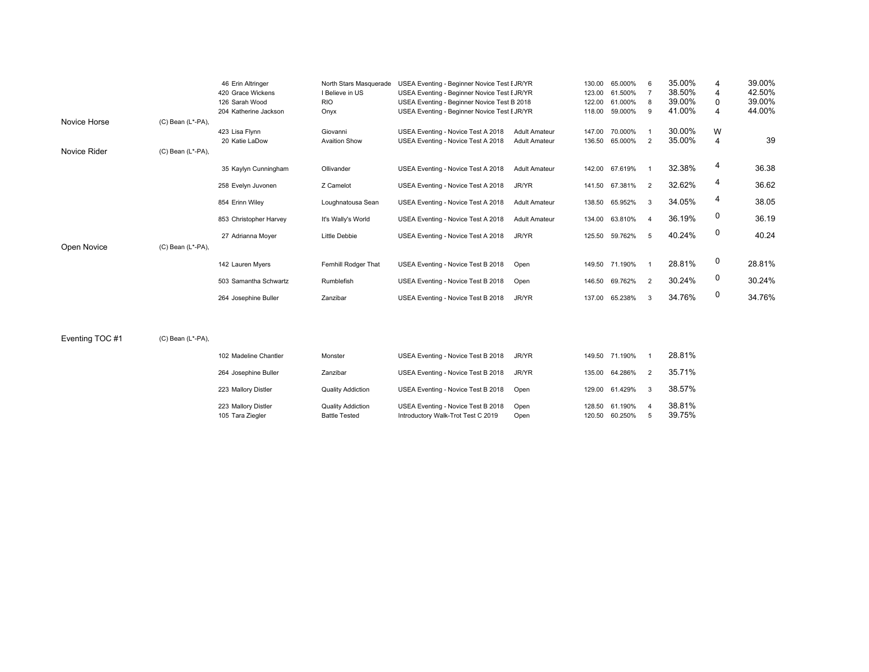|              |                   | 46 Erin Altringer      | North Stars Masquerade | USEA Eventing - Beginner Novice Test I JR/YR |                      | 130.00 | 65.000%        | 6                        | 35.00% | $\overline{4}$ | 39.00% |
|--------------|-------------------|------------------------|------------------------|----------------------------------------------|----------------------|--------|----------------|--------------------------|--------|----------------|--------|
|              |                   | 420 Grace Wickens      | I Believe in US        | USEA Eventing - Beginner Novice Test I JR/YR |                      | 123.00 | 61.500%        |                          | 38.50% | 4              | 42.50% |
|              |                   | 126 Sarah Wood         | <b>RIO</b>             | USEA Eventing - Beginner Novice Test B 2018  |                      | 122.00 | 61.000%        | -8                       | 39.00% | 0              | 39.00% |
|              |                   | 204 Katherine Jackson  | Onyx                   | USEA Eventing - Beginner Novice Test EJR/YR  |                      | 118.00 | 59.000%        | 9                        | 41.00% | 4              | 44.00% |
| Novice Horse | (C) Bean (L*-PA), |                        |                        |                                              |                      |        |                |                          |        |                |        |
|              |                   | 423 Lisa Flynn         | Giovanni               | USEA Eventing - Novice Test A 2018           | <b>Adult Amateur</b> | 147.00 | 70.000%        |                          | 30.00% | W              |        |
|              |                   | 20 Katie LaDow         | <b>Avaition Show</b>   | USEA Eventing - Novice Test A 2018           | <b>Adult Amateur</b> | 136.50 | 65.000%        | 2                        | 35.00% | 4              | 39     |
| Novice Rider | (C) Bean (L*-PA), |                        |                        |                                              |                      |        |                |                          |        |                |        |
|              |                   | 35 Kaylyn Cunningham   | Ollivander             | USEA Eventing - Novice Test A 2018           | <b>Adult Amateur</b> | 142.00 | 67.619%        |                          | 32.38% | 4              | 36.38  |
|              |                   |                        |                        |                                              |                      |        |                |                          |        |                |        |
|              |                   | 258 Evelyn Juvonen     | Z Camelot              | USEA Eventing - Novice Test A 2018           | JR/YR                |        | 141.50 67.381% | $\overline{2}$           | 32.62% | 4              | 36.62  |
|              |                   | 854 Erinn Wiley        | Loughnatousa Sean      | USEA Eventing - Novice Test A 2018           | <b>Adult Amateur</b> |        | 138.50 65.952% | 3                        | 34.05% | 4              | 38.05  |
|              |                   |                        |                        |                                              |                      |        |                |                          |        |                |        |
|              |                   | 853 Christopher Harvey | It's Wally's World     | USEA Eventing - Novice Test A 2018           | <b>Adult Amateur</b> |        | 134.00 63.810% | $\overline{\phantom{a}}$ | 36.19% | 0              | 36.19  |
|              |                   | 27 Adrianna Moyer      | Little Debbie          | USEA Eventing - Novice Test A 2018           | JR/YR                | 125.50 | 59.762%        | 5                        | 40.24% | 0              | 40.24  |
|              |                   |                        |                        |                                              |                      |        |                |                          |        |                |        |
| Open Novice  | (C) Bean (L*-PA), |                        |                        |                                              |                      |        |                |                          |        |                |        |
|              |                   | 142 Lauren Myers       | Fernhill Rodger That   | USEA Eventing - Novice Test B 2018           | Open                 |        | 149.50 71.190% |                          | 28.81% | 0              | 28.81% |
|              |                   |                        |                        |                                              |                      |        |                |                          |        | 0              |        |
|              |                   | 503 Samantha Schwartz  | Rumblefish             | USEA Eventing - Novice Test B 2018           | Open                 | 146.50 | 69.762%        | 2                        | 30.24% |                | 30.24% |
|              |                   | 264 Josephine Buller   | Zanzibar               | USEA Eventing - Novice Test B 2018           | JR/YR                | 137.00 | 65.238%        | 3                        | 34.76% | 0              | 34.76% |

Eventing TOC #1 (C) Bean (L\*-PA),

| 102 Madeline Chantler                   | Monster                                          | USEA Eventing - Novice Test B 2018                                       | JR/YR        |        | 149.50 71.190%            |   | 28.81%           |
|-----------------------------------------|--------------------------------------------------|--------------------------------------------------------------------------|--------------|--------|---------------------------|---|------------------|
| 264 Josephine Buller                    | Zanzibar                                         | USEA Eventing - Novice Test B 2018                                       | JR/YR        |        | 135.00 64.286%            |   | 35.71%           |
| 223 Mallory Distler                     | <b>Quality Addiction</b>                         | USEA Eventing - Novice Test B 2018                                       | Open         |        | 129.00 61.429%            | 3 | 38.57%           |
| 223 Mallory Distler<br>105 Tara Ziegler | <b>Quality Addiction</b><br><b>Battle Tested</b> | USEA Eventing - Novice Test B 2018<br>Introductory Walk-Trot Test C 2019 | Open<br>Open | 120.50 | 128.50 61.190%<br>60.250% | 5 | 38.81%<br>39.75% |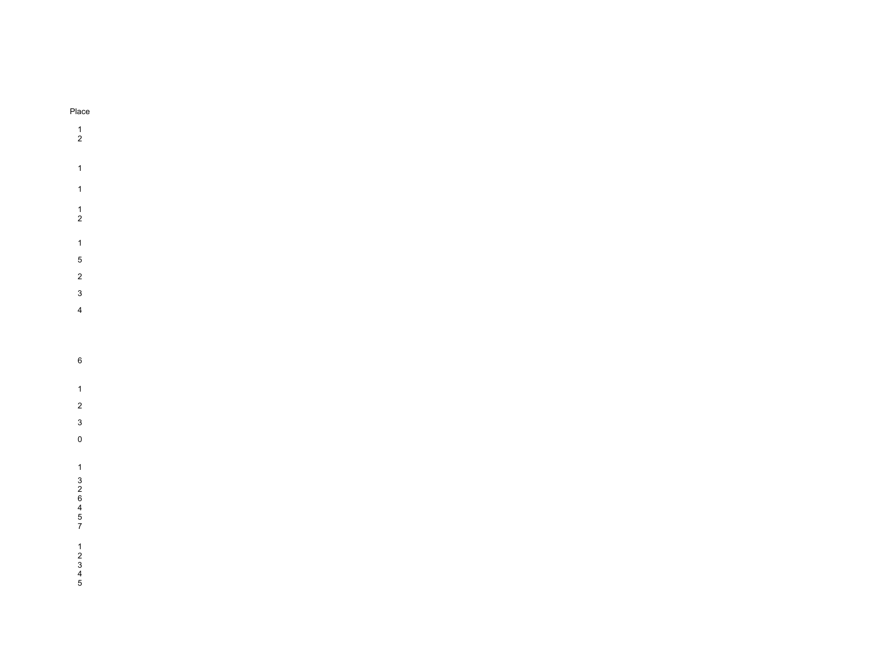## Place 1 2 1 1 1 2 1 5 2 3 4 6 1 2 3 0 1